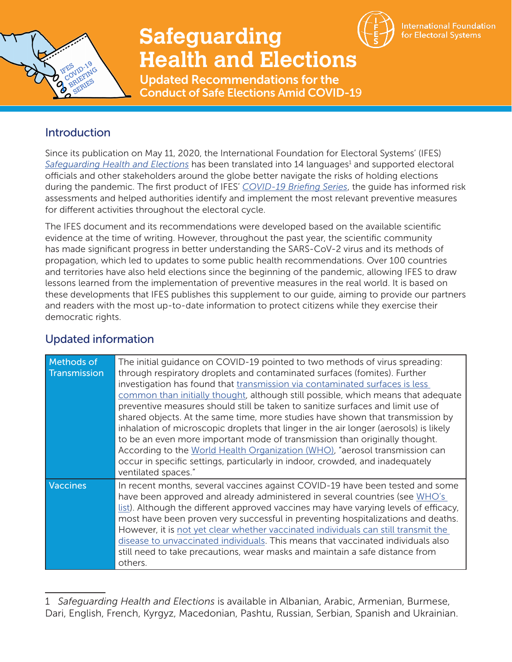

## **Safeguarding Health and Elections**



**International Foundation** for Electoral Systems

Updated Recommendations for the Conduct of Safe Elections Amid COVID-19

## **Introduction**

Since its publication on May 11, 2020, the International Foundation for Electoral Systems' (IFES) [Safeguarding Health and Elections](https://www.ifes.org/publications/ifes-covid-19-briefing-series-safeguarding-health-and-elections) has been translated into 14 languages<sup>1</sup> and supported electoral officials and other stakeholders around the globe better navigate the risks of holding elections during the pandemic. The first product of IFES' *[COVID-19 Briefing Series](https://www.ifes.org/ifes-covid-19-briefing-series)*, the guide has informed risk assessments and helped authorities identify and implement the most relevant preventive measures for different activities throughout the electoral cycle.

The IFES document and its recommendations were developed based on the available scientific evidence at the time of writing. However, throughout the past year, the scientific community has made significant progress in better understanding the SARS-CoV-2 virus and its methods of propagation, which led to updates to some public health recommendations. Over 100 countries and territories have also held elections since the beginning of the pandemic, allowing IFES to draw lessons learned from the implementation of preventive measures in the real world. It is based on these developments that IFES publishes this supplement to our guide, aiming to provide our partners and readers with the most up-to-date information to protect citizens while they exercise their democratic rights.

| <b>Methods of</b><br>Transmission | The initial guidance on COVID-19 pointed to two methods of virus spreading:<br>through respiratory droplets and contaminated surfaces (fomites). Further<br>investigation has found that transmission via contaminated surfaces is less<br>common than initially thought, although still possible, which means that adequate<br>preventive measures should still be taken to sanitize surfaces and limit use of<br>shared objects. At the same time, more studies have shown that transmission by<br>inhalation of microscopic droplets that linger in the air longer (aerosols) is likely<br>to be an even more important mode of transmission than originally thought.<br>According to the World Health Organization (WHO), "aerosol transmission can<br>occur in specific settings, particularly in indoor, crowded, and inadequately<br>ventilated spaces." |
|-----------------------------------|-----------------------------------------------------------------------------------------------------------------------------------------------------------------------------------------------------------------------------------------------------------------------------------------------------------------------------------------------------------------------------------------------------------------------------------------------------------------------------------------------------------------------------------------------------------------------------------------------------------------------------------------------------------------------------------------------------------------------------------------------------------------------------------------------------------------------------------------------------------------|
| Vaccines                          | In recent months, several vaccines against COVID-19 have been tested and some<br>have been approved and already administered in several countries (see WHO's<br>list). Although the different approved vaccines may have varying levels of efficacy,<br>most have been proven very successful in preventing hospitalizations and deaths.<br>However, it is not yet clear whether vaccinated individuals can still transmit the<br>disease to unvaccinated individuals. This means that vaccinated individuals also<br>still need to take precautions, wear masks and maintain a safe distance from<br>others.                                                                                                                                                                                                                                                   |

## Updated information

<sup>1</sup> *Safeguarding Health and Elections* is available in Albanian, Arabic, Armenian, Burmese, Dari, English, French, Kyrgyz, Macedonian, Pashtu, Russian, Serbian, Spanish and Ukrainian.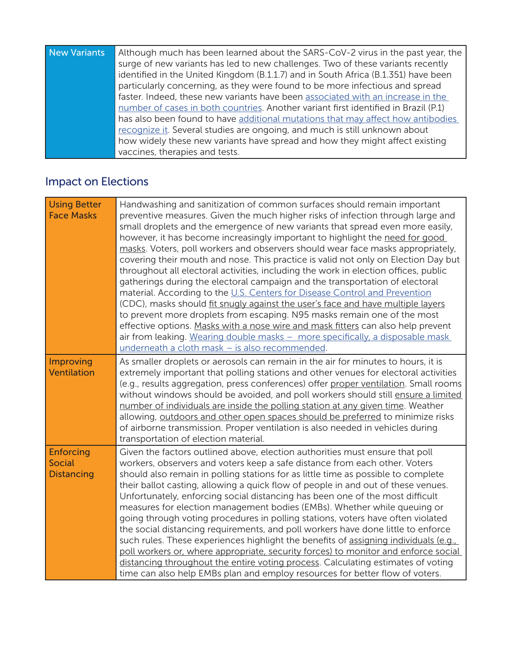| New Variants | Although much has been learned about the SARS-CoV-2 virus in the past year, the     |
|--------------|-------------------------------------------------------------------------------------|
|              | surge of new variants has led to new challenges. Two of these variants recently     |
|              | identified in the United Kingdom (B.1.1.7) and in South Africa (B.1.351) have been  |
|              | particularly concerning, as they were found to be more infectious and spread        |
|              | faster. Indeed, these new variants have been associated with an increase in the     |
|              | number of cases in both countries. Another variant first identified in Brazil (P.1) |
|              | has also been found to have additional mutations that may affect how antibodies     |
|              | recognize it. Several studies are ongoing, and much is still unknown about          |
|              | how widely these new variants have spread and how they might affect existing        |
|              | vaccines, therapies and tests.                                                      |

## Impact on Elections

| <b>Using Better</b><br><b>Face Masks</b>               | Handwashing and sanitization of common surfaces should remain important<br>preventive measures. Given the much higher risks of infection through large and<br>small droplets and the emergence of new variants that spread even more easily,<br>however, it has become increasingly important to highlight the need for good<br>masks. Voters, poll workers and observers should wear face masks appropriately,<br>covering their mouth and nose. This practice is valid not only on Election Day but<br>throughout all electoral activities, including the work in election offices, public<br>gatherings during the electoral campaign and the transportation of electoral<br>material. According to the U.S. Centers for Disease Control and Prevention<br>(CDC), masks should fit snugly against the user's face and have multiple layers<br>to prevent more droplets from escaping. N95 masks remain one of the most<br>effective options. Masks with a nose wire and mask fitters can also help prevent<br>air from leaking. Wearing double masks - more specifically, a disposable mask<br>underneath a cloth mask - is also recommended. |
|--------------------------------------------------------|--------------------------------------------------------------------------------------------------------------------------------------------------------------------------------------------------------------------------------------------------------------------------------------------------------------------------------------------------------------------------------------------------------------------------------------------------------------------------------------------------------------------------------------------------------------------------------------------------------------------------------------------------------------------------------------------------------------------------------------------------------------------------------------------------------------------------------------------------------------------------------------------------------------------------------------------------------------------------------------------------------------------------------------------------------------------------------------------------------------------------------------------------|
| <b>Improving</b><br><b>Ventilation</b>                 | As smaller droplets or aerosols can remain in the air for minutes to hours, it is<br>extremely important that polling stations and other venues for electoral activities<br>(e.g., results aggregation, press conferences) offer proper ventilation. Small rooms<br>without windows should be avoided, and poll workers should still ensure a limited<br>number of individuals are inside the polling station at any given time. Weather<br>allowing, outdoors and other open spaces should be preferred to minimize risks<br>of airborne transmission. Proper ventilation is also needed in vehicles during<br>transportation of election material.                                                                                                                                                                                                                                                                                                                                                                                                                                                                                             |
| <b>Enforcing</b><br><b>Social</b><br><b>Distancing</b> | Given the factors outlined above, election authorities must ensure that poll<br>workers, observers and voters keep a safe distance from each other. Voters<br>should also remain in polling stations for as little time as possible to complete<br>their ballot casting, allowing a quick flow of people in and out of these venues.<br>Unfortunately, enforcing social distancing has been one of the most difficult<br>measures for election management bodies (EMBs). Whether while queuing or<br>going through voting procedures in polling stations, voters have often violated<br>the social distancing requirements, and poll workers have done little to enforce<br>such rules. These experiences highlight the benefits of assigning individuals (e.g.,<br>poll workers or, where appropriate, security forces) to monitor and enforce social<br>distancing throughout the entire voting process. Calculating estimates of voting<br>time can also help EMBs plan and employ resources for better flow of voters.                                                                                                                       |